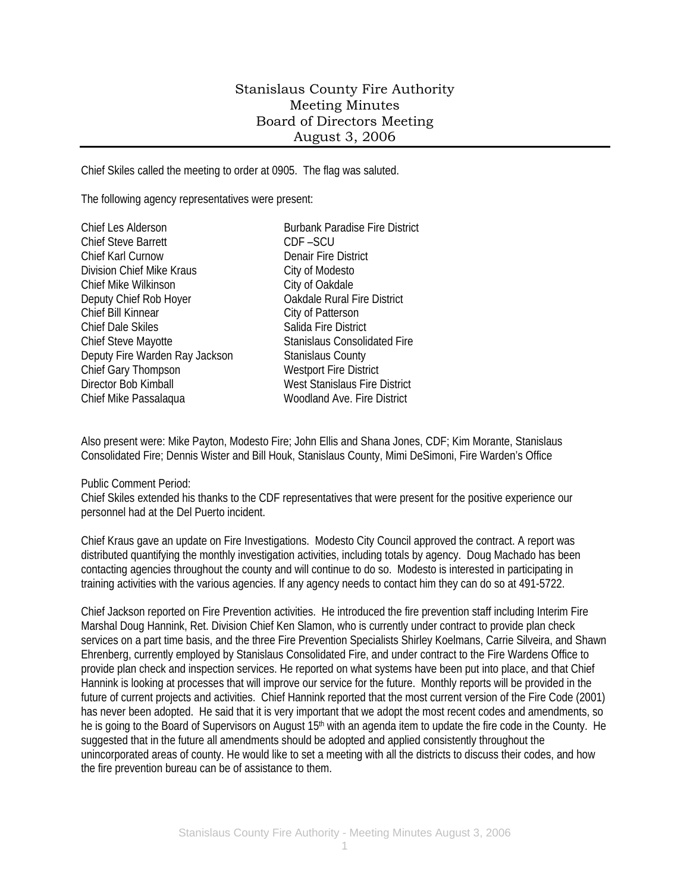## Stanislaus County Fire Authority Meeting Minutes Board of Directors Meeting August 3, 2006

Chief Skiles called the meeting to order at 0905. The flag was saluted.

The following agency representatives were present:

| Chief Les Alderson             | <b>Burbank Paradise Fire District</b> |
|--------------------------------|---------------------------------------|
| <b>Chief Steve Barrett</b>     | CDF-SCU                               |
| <b>Chief Karl Curnow</b>       | <b>Denair Fire District</b>           |
| Division Chief Mike Kraus      | City of Modesto                       |
| <b>Chief Mike Wilkinson</b>    | City of Oakdale                       |
| Deputy Chief Rob Hoyer         | <b>Oakdale Rural Fire District</b>    |
| Chief Bill Kinnear             | City of Patterson                     |
| <b>Chief Dale Skiles</b>       | Salida Fire District                  |
| Chief Steve Mayotte            | <b>Stanislaus Consolidated Fire</b>   |
| Deputy Fire Warden Ray Jackson | <b>Stanislaus County</b>              |
| Chief Gary Thompson            | <b>Westport Fire District</b>         |
| Director Bob Kimball           | West Stanislaus Fire District         |
| Chief Mike Passalaqua          | Woodland Ave. Fire District           |
|                                |                                       |

Also present were: Mike Payton, Modesto Fire; John Ellis and Shana Jones, CDF; Kim Morante, Stanislaus Consolidated Fire; Dennis Wister and Bill Houk, Stanislaus County, Mimi DeSimoni, Fire Warden's Office

## Public Comment Period:

Chief Skiles extended his thanks to the CDF representatives that were present for the positive experience our personnel had at the Del Puerto incident.

Chief Kraus gave an update on Fire Investigations. Modesto City Council approved the contract. A report was distributed quantifying the monthly investigation activities, including totals by agency. Doug Machado has been contacting agencies throughout the county and will continue to do so. Modesto is interested in participating in training activities with the various agencies. If any agency needs to contact him they can do so at 491-5722.

Chief Jackson reported on Fire Prevention activities. He introduced the fire prevention staff including Interim Fire Marshal Doug Hannink, Ret. Division Chief Ken Slamon, who is currently under contract to provide plan check services on a part time basis, and the three Fire Prevention Specialists Shirley Koelmans, Carrie Silveira, and Shawn Ehrenberg, currently employed by Stanislaus Consolidated Fire, and under contract to the Fire Wardens Office to provide plan check and inspection services. He reported on what systems have been put into place, and that Chief Hannink is looking at processes that will improve our service for the future. Monthly reports will be provided in the future of current projects and activities. Chief Hannink reported that the most current version of the Fire Code (2001) has never been adopted. He said that it is very important that we adopt the most recent codes and amendments, so he is going to the Board of Supervisors on August 15<sup>th</sup> with an agenda item to update the fire code in the County. He suggested that in the future all amendments should be adopted and applied consistently throughout the unincorporated areas of county. He would like to set a meeting with all the districts to discuss their codes, and how the fire prevention bureau can be of assistance to them.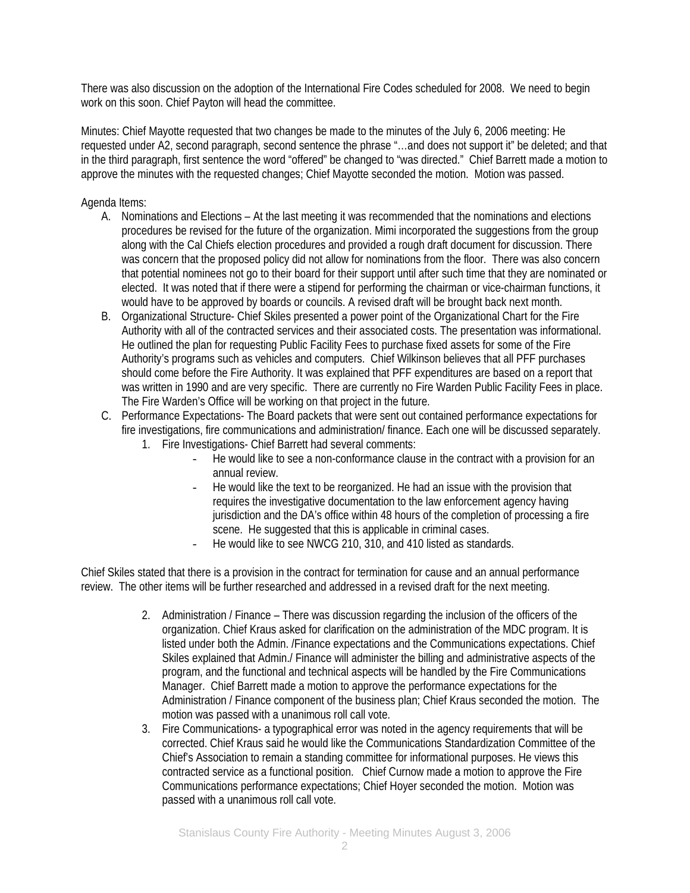There was also discussion on the adoption of the International Fire Codes scheduled for 2008. We need to begin work on this soon. Chief Payton will head the committee.

Minutes: Chief Mayotte requested that two changes be made to the minutes of the July 6, 2006 meeting: He requested under A2, second paragraph, second sentence the phrase "…and does not support it" be deleted; and that in the third paragraph, first sentence the word "offered" be changed to "was directed." Chief Barrett made a motion to approve the minutes with the requested changes; Chief Mayotte seconded the motion. Motion was passed.

Agenda Items:

- A. Nominations and Elections At the last meeting it was recommended that the nominations and elections procedures be revised for the future of the organization. Mimi incorporated the suggestions from the group along with the Cal Chiefs election procedures and provided a rough draft document for discussion. There was concern that the proposed policy did not allow for nominations from the floor. There was also concern that potential nominees not go to their board for their support until after such time that they are nominated or elected. It was noted that if there were a stipend for performing the chairman or vice-chairman functions, it would have to be approved by boards or councils. A revised draft will be brought back next month.
- B. Organizational Structure- Chief Skiles presented a power point of the Organizational Chart for the Fire Authority with all of the contracted services and their associated costs. The presentation was informational. He outlined the plan for requesting Public Facility Fees to purchase fixed assets for some of the Fire Authority's programs such as vehicles and computers. Chief Wilkinson believes that all PFF purchases should come before the Fire Authority. It was explained that PFF expenditures are based on a report that was written in 1990 and are very specific. There are currently no Fire Warden Public Facility Fees in place. The Fire Warden's Office will be working on that project in the future.
- C. Performance Expectations- The Board packets that were sent out contained performance expectations for fire investigations, fire communications and administration/ finance. Each one will be discussed separately.
	- 1. Fire Investigations- Chief Barrett had several comments:
		- He would like to see a non-conformance clause in the contract with a provision for an annual review.
		- He would like the text to be reorganized. He had an issue with the provision that requires the investigative documentation to the law enforcement agency having jurisdiction and the DA's office within 48 hours of the completion of processing a fire scene. He suggested that this is applicable in criminal cases.
		- He would like to see NWCG 210, 310, and 410 listed as standards.

Chief Skiles stated that there is a provision in the contract for termination for cause and an annual performance review. The other items will be further researched and addressed in a revised draft for the next meeting.

- 2. Administration / Finance There was discussion regarding the inclusion of the officers of the organization. Chief Kraus asked for clarification on the administration of the MDC program. It is listed under both the Admin. /Finance expectations and the Communications expectations. Chief Skiles explained that Admin./ Finance will administer the billing and administrative aspects of the program, and the functional and technical aspects will be handled by the Fire Communications Manager. Chief Barrett made a motion to approve the performance expectations for the Administration / Finance component of the business plan; Chief Kraus seconded the motion. The motion was passed with a unanimous roll call vote.
- 3. Fire Communications- a typographical error was noted in the agency requirements that will be corrected. Chief Kraus said he would like the Communications Standardization Committee of the Chief's Association to remain a standing committee for informational purposes. He views this contracted service as a functional position. Chief Curnow made a motion to approve the Fire Communications performance expectations; Chief Hoyer seconded the motion. Motion was passed with a unanimous roll call vote.